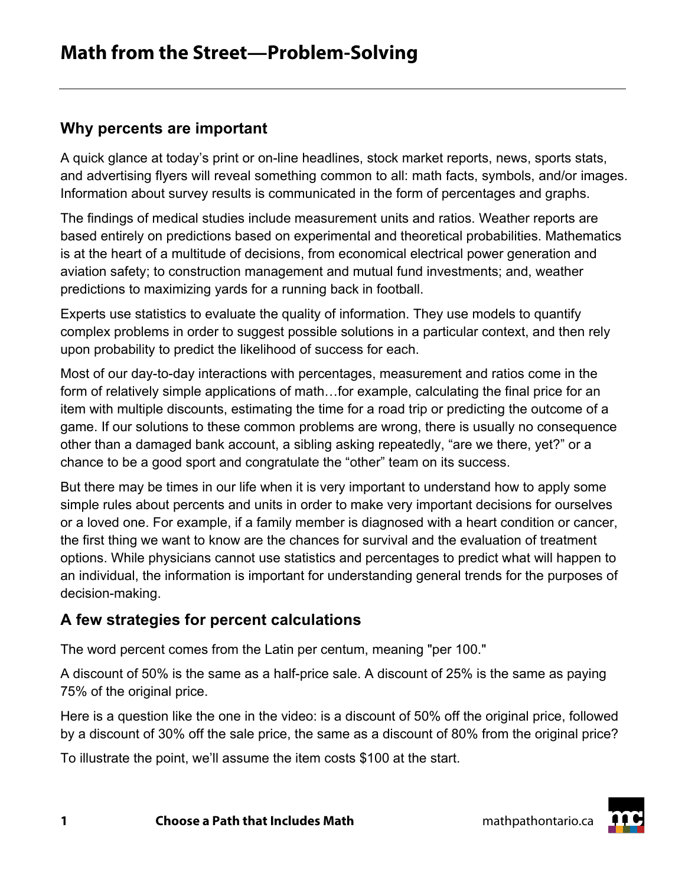### **Why percents are important**

A quick glance at today's print or on-line headlines, stock market reports, news, sports stats, and advertising flyers will reveal something common to all: math facts, symbols, and/or images. Information about survey results is communicated in the form of percentages and graphs.

The findings of medical studies include measurement units and ratios. Weather reports are based entirely on predictions based on experimental and theoretical probabilities. Mathematics is at the heart of a multitude of decisions, from economical electrical power generation and aviation safety; to construction management and mutual fund investments; and, weather predictions to maximizing yards for a running back in football.

Experts use statistics to evaluate the quality of information. They use models to quantify complex problems in order to suggest possible solutions in a particular context, and then rely upon probability to predict the likelihood of success for each.

Most of our day-to-day interactions with percentages, measurement and ratios come in the form of relatively simple applications of math...for example, calculating the final price for an item with multiple discounts, estimating the time for a road trip or predicting the outcome of a game. If our solutions to these common problems are wrong, there is usually no consequence other than a damaged bank account, a sibling asking repeatedly, "are we there, yet?" or a chance to be a good sport and congratulate the "other" team on its success.

But there may be times in our life when it is very important to understand how to apply some simple rules about percents and units in order to make very important decisions for ourselves or a loved one. For example, if a family member is diagnosed with a heart condition or cancer, the first thing we want to know are the chances for survival and the evaluation of treatment options. While physicians cannot use statistics and percentages to predict what will happen to an individual, the information is important for understanding general trends for the purposes of decision-making.

## **A few strategies for percent calculations**

The word percent comes from the Latin per centum, meaning "per 100."

A discount of 50% is the same as a half-price sale. A discount of 25% is the same as paying 75% of the original price.

Here is a question like the one in the video: is a discount of 50% off the original price, followed by a discount of 30% off the sale price, the same as a discount of 80% from the original price?

To illustrate the point, we'll assume the item costs \$100 at the start.

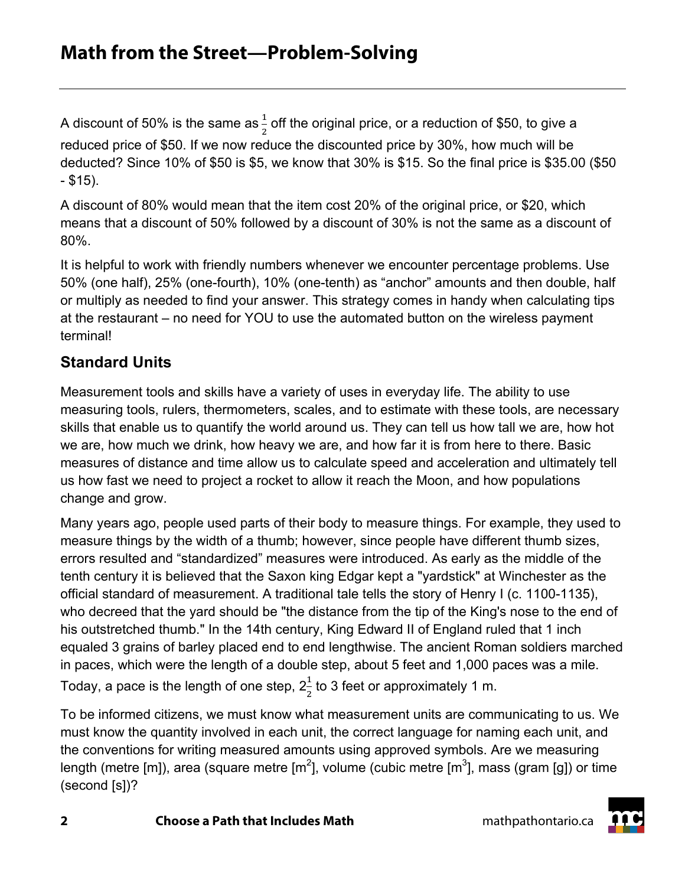A discount of 50% is the same as $\frac{1}{2}$  off the original price, or a reduction of \$50, to give a reduced price of \$50. If we now reduce the discounted price by 30%, how much will be deducted? Since 10% of \$50 is \$5, we know that 30% is \$15. So the final price is \$35.00 (\$50 - \$15).

A discount of 80% would mean that the item cost 20% of the original price, or \$20, which means that a discount of 50% followed by a discount of 30% is not the same as a discount of 80%.

It is helpful to work with friendly numbers whenever we encounter percentage problems. Use 50% (one half), 25% (one-fourth), 10% (one-tenth) as "anchor" amounts and then double, half or multiply as needed to find your answer. This strategy comes in handy when calculating tips at the restaurant – no need for YOU to use the automated button on the wireless payment terminal!

# **Standard Units**

Measurement tools and skills have a variety of uses in everyday life. The ability to use measuring tools, rulers, thermometers, scales, and to estimate with these tools, are necessary skills that enable us to quantify the world around us. They can tell us how tall we are, how hot we are, how much we drink, how heavy we are, and how far it is from here to there. Basic measures of distance and time allow us to calculate speed and acceleration and ultimately tell us how fast we need to project a rocket to allow it reach the Moon, and how populations change and grow.

Many years ago, people used parts of their body to measure things. For example, they used to measure things by the width of a thumb; however, since people have different thumb sizes, errors resulted and "standardized" measures were introduced. As early as the middle of the tenth century it is believed that the Saxon king Edgar kept a "yardstick" at Winchester as the official standard of measurement. A traditional tale tells the story of Henry I (c. 1100-1135), who decreed that the yard should be "the distance from the tip of the King's nose to the end of his outstretched thumb." In the 14th century, King Edward II of England ruled that 1 inch equaled 3 grains of barley placed end to end lengthwise. The ancient Roman soldiers marched in paces, which were the length of a double step, about 5 feet and 1,000 paces was a mile. Today, a pace is the length of one step,  $2\frac{1}{2}$  to 3 feet or approximately 1 m.

To be informed citizens, we must know what measurement units are communicating to us. We must know the quantity involved in each unit, the correct language for naming each unit, and the conventions for writing measured amounts using approved symbols. Are we measuring length (metre [m]), area (square metre [m<sup>2</sup>], volume (cubic metre [m<sup>3</sup>], mass (gram [g]) or time (second [s])?

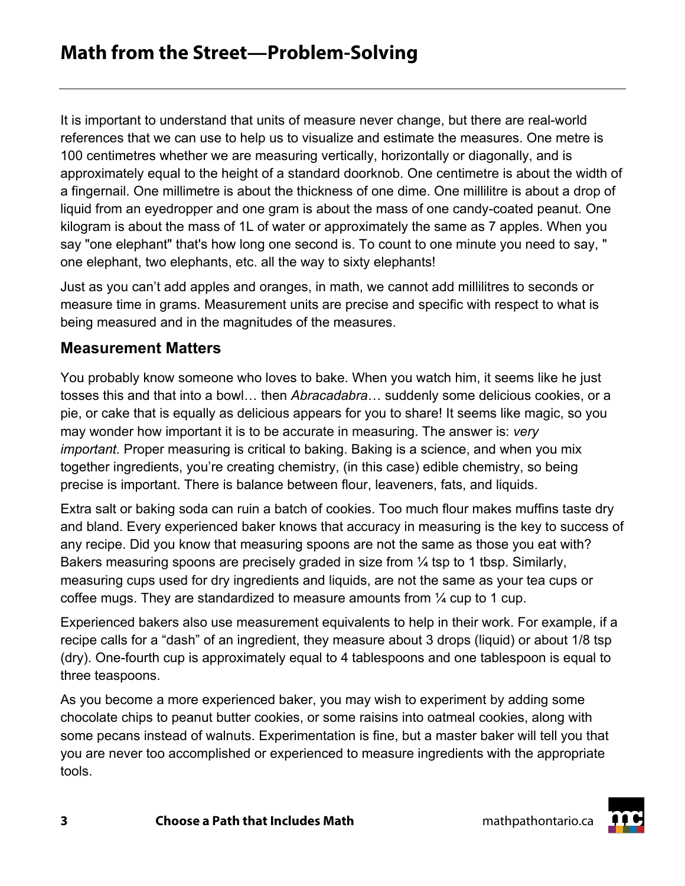It is important to understand that units of measure never change, but there are real-world references that we can use to help us to visualize and estimate the measures. One metre is 100 centimetres whether we are measuring vertically, horizontally or diagonally, and is approximately equal to the height of a standard doorknob. One centimetre is about the width of a fingernail. One millimetre is about the thickness of one dime. One millilitre is about a drop of liquid from an eyedropper and one gram is about the mass of one candy-coated peanut. One kilogram is about the mass of 1L of water or approximately the same as 7 apples. When you say "one elephant" that's how long one second is. To count to one minute you need to say, " one elephant, two elephants, etc. all the way to sixty elephants!

Just as you can't add apples and oranges, in math, we cannot add millilitres to seconds or measure time in grams. Measurement units are precise and specific with respect to what is being measured and in the magnitudes of the measures.

#### **Measurement Matters**

You probably know someone who loves to bake. When you watch him, it seems like he just tosses this and that into a bowl… then *Abracadabra*… suddenly some delicious cookies, or a pie, or cake that is equally as delicious appears for you to share! It seems like magic, so you may wonder how important it is to be accurate in measuring. The answer is: *very important.* Proper measuring is critical to baking. Baking is a science, and when you mix together ingredients, you're creating chemistry, (in this case) edible chemistry, so being precise is important. There is balance between flour, leaveners, fats, and liquids.

Extra salt or baking soda can ruin a batch of cookies. Too much flour makes muffins taste dry and bland. Every experienced baker knows that accuracy in measuring is the key to success of any recipe. Did you know that measuring spoons are not the same as those you eat with? Bakers measuring spoons are precisely graded in size from  $\frac{1}{4}$  tsp to 1 tbsp. Similarly, measuring cups used for dry ingredients and liquids, are not the same as your tea cups or coffee mugs. They are standardized to measure amounts from ¼ cup to 1 cup.

Experienced bakers also use measurement equivalents to help in their work. For example, if a recipe calls for a "dash" of an ingredient, they measure about 3 drops (liquid) or about 1/8 tsp (dry). One-fourth cup is approximately equal to 4 tablespoons and one tablespoon is equal to three teaspoons.

As you become a more experienced baker, you may wish to experiment by adding some chocolate chips to peanut butter cookies, or some raisins into oatmeal cookies, along with some pecans instead of walnuts. Experimentation is fine, but a master baker will tell you that you are never too accomplished or experienced to measure ingredients with the appropriate tools.